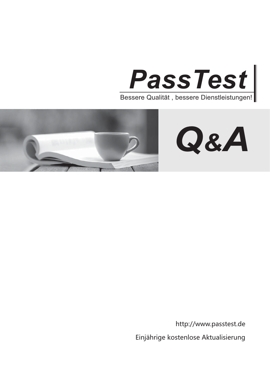



http://www.passtest.de

Einjährige kostenlose Aktualisierung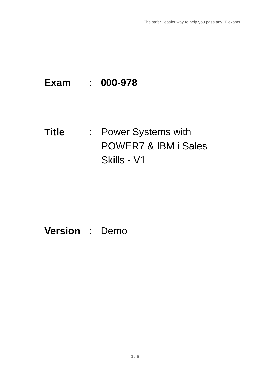# **Exam** : **000-978**

**Title** : Power Systems with POWER7 & IBM i Sales Skills - V1

## **Version** : Demo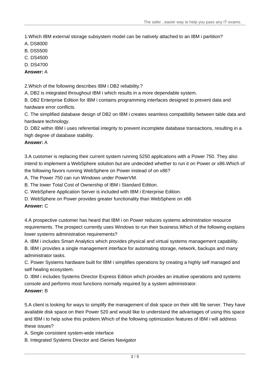1.Which IBM external storage subsystem model can be natively attached to an IBM i partition?

- A. DS8000
- B. DS5500
- C. DS4500
- D. DS4700
- **Answer:** A

2.Which of the following describes IBM i DB2 reliability.?

A. DB2 is integrated throughout IBM i which results in a more dependable system.

B. DB2 Enterprise Edition for IBM i contains programming interfaces designed to prevent data and hardware error conflicts.

C. The simplified database design of DB2 on IBM i creates seamless compatibility between table data and hardware technology.

D. DB2 within IBM i uses referential integrity to prevent incomplete database transactions, resulting in a high degree of database stability.

## **Answer:** A

3.A customer is replacing their current system running 5250 applications with a Power 750. They also intend to implement a WebSphere solution but are undecided whether to run it on Power or x86.Which of the following favors running WebSphere on Power instead of on x86?

A. The Power 750 can run Windows under PowerVM.

B. The lower Total Cost of Ownership of IBM i Standard Edition.

C. WebSphere Application Server is included with IBM i Enterprise Edition.

D. WebSphere on Power provides greater functionality than WebSphere on x86

## **Answer:** C

4.A prospective customer has heard that IBM i on Power reduces systems administration resource requirements. The prospect currently uses Windows to run their business.Which of the following explains lower systems administration requirements?

A. IBM i includes Smart Analytics which provides physical and virtual systems management capability.

B. IBM i provides a single management interface for automating storage, network, backups and many administrator tasks.

C. Power Systems hardware built for IBM i simplifies operations by creating a highly self managed and self healing ecosystem.

D. IBM i includes Systems Director Express Edition which provides an intuitive operations and systems console and performs most functions normally required by a system administrator.

## **Answer:** B

5.A client is looking for ways to simplify the management of disk space on their x86 file server. They have available disk space on their Power 520 and would like to understand the advantages of using this space and IBM i to help solve this problem.Which of the following optimization features of IBM i will address these issues?

A. Single consistent system-wide interface

B. Integrated Systems Director and iSeries Navigator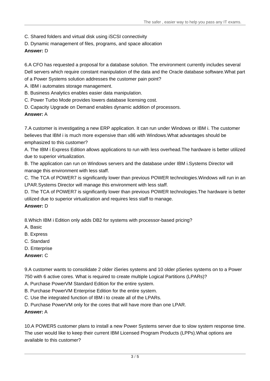- C. Shared folders and virtual disk using iSCSI connectivity
- D. Dynamic management of files, programs, and space allocation

## **Answer:** D

6.A CFO has requested a proposal for a database solution. The environment currently includes several Dell servers which require constant manipulation of the data and the Oracle database software.What part of a Power Systems solution addresses the customer pain point?

- A. IBM i automates storage management.
- B. Business Analytics enables easier data manipulation.
- C. Power Turbo Mode provides lowers database licensing cost.
- D. Capacity Upgrade on Demand enables dynamic addition of processors.

#### **Answer:** A

7.A customer is investigating a new ERP application. It can run under Windows or IBM i. The customer believes that IBM i is much more expensive than x86 with Windows.What advantages should be emphasized to this customer?

A. The IBM i Express Edition allows applications to run with less overhead.The hardware is better utilized due to superior virtualization.

B. The application can run on Windows servers and the database under IBM i.Systems Director will manage this environment with less staff.

C. The TCA of POWER7 is significantly lower than previous POWER technologies.Windows will run in an LPAR.Systems Director will manage this environment with less staff.

D. The TCA of POWER7 is significantly lower than previous POWER technologies.The hardware is better utilized due to superior virtualization and requires less staff to manage.

#### **Answer:** D

8.Which IBM i Edition only adds DB2 for systems with processor-based pricing?

- A. Basic
- B. Express
- C. Standard
- D. Enterprise
- **Answer:** C

9.A customer wants to consolidate 2 older iSeries systems and 10 older pSeries systems on to a Power 750 with 6 active cores. What is required to create multiple Logical Partitions (LPARs)?

- A. Purchase PowerVM Standard Edition for the entire system.
- B. Purchase PowerVM Enterprise Edition for the entire system.
- C. Use the integrated function of IBM i to create all of the LPARs.
- D. Purchase PowerVM only for the cores that will have more than one LPAR.

#### **Answer:** A

10.A POWER5 customer plans to install a new Power Systems server due to slow system response time. The user would like to keep their current IBM Licensed Program Products (LPPs).What options are available to this customer?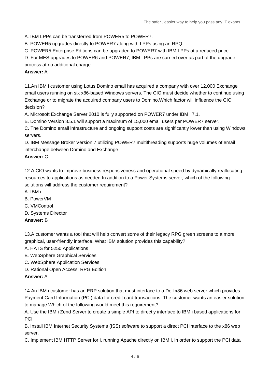A. IBM LPPs can be transferred from POWER5 to POWER7.

B. POWER5 upgrades directly to POWER7 along with LPPs using an RPQ

C. POWER5 Enterprise Editions can be upgraded to POWER7 with IBM LPPs at a reduced price.

D. For MES upgrades to POWER6 and POWER7, IBM LPPs are carried over as part of the upgrade process at no additional charge.

## **Answer:** A

11.An IBM i customer using Lotus Domino email has acquired a company with over 12,000 Exchange email users running on six x86-based Windows servers. The CIO must decide whether to continue using Exchange or to migrate the acquired company users to Domino.Which factor will influence the CIO decision? The contract of the contract of the contract of the contract of the contract of the contract of the contract of the contract of the contract of the contract of the contract of the contract of the contract of the

A. Microsoft Exchange Server 2010 is fully supported on POWER7 under IBM i 7.1.

B. Domino Version 8.5.1 will support a maximum of 15,000 email users per POWER7 server.

C. The Domino email infrastructure and ongoing support costs are significantly lower than using Windows servers. The contract of the contract of the contract of the contract of the contract of the contract of the contract of the contract of the contract of the contract of the contract of the contract of the contract of the c

D. IBM Message Broker Version 7 utilizing POWER7 multithreading supports huge volumes of email interchange between Domino and Exchange.

## **Answer:** C

12.A CIO wants to improve business responsiveness and operational speed by dynamically reallocating resources to applications as needed.In addition to a Power Systems server, which of the following solutions will address the customer requirement?

- A. IBM i
- B. PowerVM
- C. VMControl
- D. Systems Director
- **Answer:** B

13.A customer wants a tool that will help convert some of their legacy RPG green screens to a more graphical, user-friendly interface. What IBM solution provides this capability?

- A. HATS for 5250 Applications
- B. WebSphere Graphical Services
- C. WebSphere Application Services
- D. Rational Open Access: RPG Edition

## **Answer:** A

14.An IBM i customer has an ERP solution that must interface to a Dell x86 web server which provides Payment Card Information (PCI) data for credit card transactions. The customer wants an easier solution to manage.Which of the following would meet this requirement?

A. Use the IBM i Zend Server to create a simple API to directly interface to IBM i based applications for PCI. **Provide** the contract of the contract of the contract of the contract of the contract of the contract of the contract of the contract of the contract of the contract of the contract of the contract of the contract of

B. Install IBM Internet Security Systems (ISS) software to support a direct PCI interface to the x86 web server. The contract of the contract of the contract of the contract of the contract of the contract of the contract of the contract of the contract of the contract of the contract of the contract of the contract of the co

C. Implement IBM HTTP Server for i, running Apache directly on IBM i, in order to support the PCI data